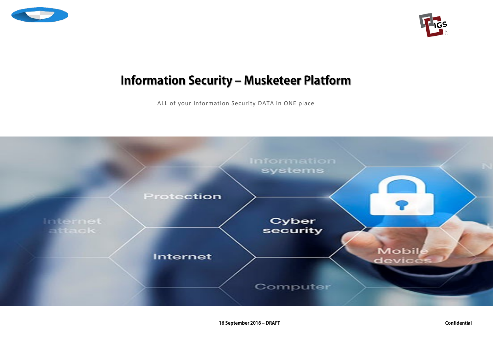



# **Information Security – Musketeer Platform**

ALL of your Information Security DATA in ONE place

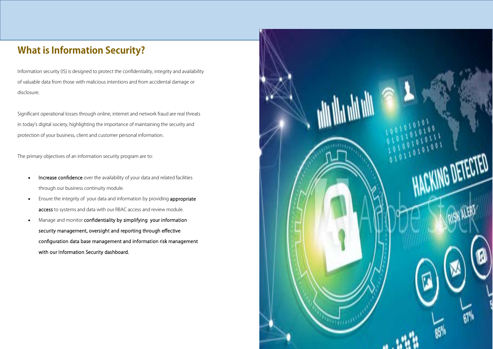# **What is Information Security?**

Information security (IS) is designed to protect the confidentiality, integrity and availability of valuable data from those with malicious intentions and from accidental damage or disclosure.

Significant operational losses through online, internet and network fraud are real threats in today's digital society, highlighting the importance of maintaining the security and protection of your business, client and customer personal information.

The primary objectives of an information security program are to:

- Increase confidence over the availability of your data and related facilities through our business continuity module.
- Ensure the integrity of your data and information by providing **appropriate** access to systems and data with our RBAC access and review module.
- Manage and monitor confidentiality by simplifying your information security management, oversight and reporting through effective configuration data base management and information risk management with our Information Security dashboard.

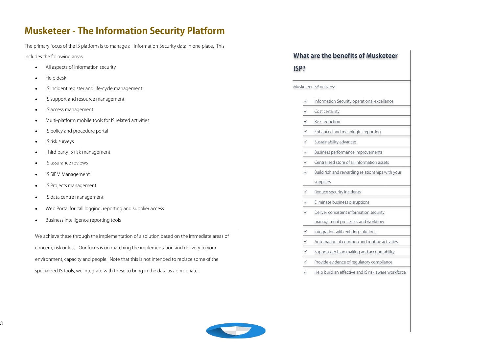## **Musketeer - The Information Security Platform**

The primary focus of the IS platform is to manage all Information Security data in one place. This includes the following areas:

- All aspects of information security
- Help desk
- IS incident register and life-cycle management
- IS support and resource management
- IS access management
- Multi-platform mobile tools for IS related activities
- IS policy and procedure portal
- IS risk surveys
- Third party IS risk management
- IS assurance reviews
- IS SIEM Management
- IS Projects management
- IS data centre management
- Web Portal for call logging, reporting and supplier access
- Business intelligence reporting tools

We achieve these through the implementation of a solution based on the immediate areas of concern, risk or loss. Our focus is on matching the implementation and delivery to your environment, capacity and people. Note that this is not intended to replace some of the specialized IS tools, we integrate with these to bring in the data as appropriate.

### **What are the benefits of Musketeer**

**ISP?**

Musketeer ISP delivers:

- Information Security operational excellence
- Cost certainty
- Risk reduction
- Enhanced and meaningful reporting
- Sustainability advances
- Business performance improvements
- Centralised store of all information assets
- $\checkmark$  Build rich and rewarding relationships with your suppliers
- Reduce security incidents
- Eliminate business disruptions
- Deliver consistent information security
- management processes and workflow
- Integration with existing solutions
- Automation of common and routine activities
- Support decision making and accountability
- Provide evidence of regulatory compliance
- $\checkmark$  Help build an effective and IS risk aware workforce

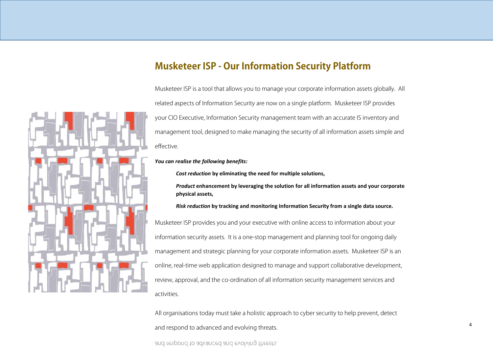

### **Musketeer ISP - Our Information Security Platform**

Musketeer ISP is a tool that allows you to manage your corporate information assets globally. All related aspects of Information Security are now on a single platform. Musketeer ISP provides your CIO Executive, Information Security management team with an accurate IS inventory and management tool, designed to make managing the security of all information assets simple and effective.

#### *You can realise the following benefits:*

*Cost reduction* **by eliminating the need for multiple solutions,** 

*Product* **enhancement by leveraging the solution for all information assets and your corporate physical assets,** 

#### *Risk reduction* **by tracking and monitoring Information Security from a single data source.**

Musketeer ISP provides you and your executive with online access to information about your information security assets. It is a one-stop management and planning tool for ongoing daily management and strategic planning for your corporate information assets. Musketeer ISP is an online, real-time web application designed to manage and support collaborative development, review, approval, and the co-ordination of all information security management services and activities.

All organisations today must take a holistic approach to cyber security to help prevent, detect

and respond to advanced and evolving threats.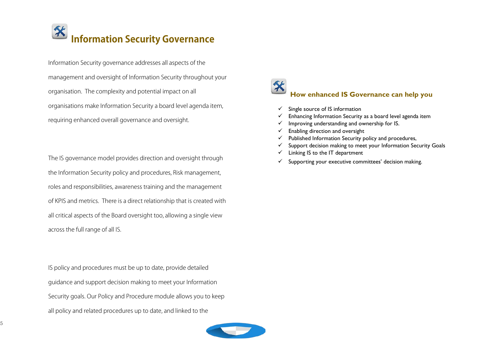# **Information Security Governance**

Information Security governance addresses all aspects of the management and oversight of Information Security throughout your organisation. The complexity and potential impact on all organisations make Information Security a board level agenda item, requiring enhanced overall governance and oversight.

The IS governance model provides direction and oversight through the Information Security policy and procedures, Risk management, roles and responsibilities, awareness training and the management of KPIS and metrics. There is a direct relationship that is created with all critical aspects of the Board oversight too, allowing a single view across the full range of all IS.

IS policy and procedures must be up to date, provide detailed guidance and support decision making to meet your Information Security goals. Our Policy and Procedure module allows you to keep all policy and related procedures up to date, and linked to the



### **How enhanced IS Governance can help you**

- $\checkmark$  Single source of IS information
- $\checkmark$  Enhancing Information Security as a board level agenda item
- $\checkmark$  Improving understanding and ownership for IS.
- $\checkmark$  Enabling direction and oversight
- $\checkmark$  Published Information Security policy and procedures,
- $\checkmark$  Support decision making to meet your Information Security Goals
- $\checkmark$  Linking IS to the IT department
- $\checkmark$  Supporting your executive committees' decision making.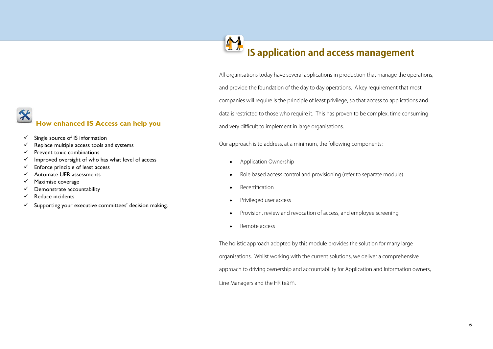# **How enhanced IS Access can help you**

- $\checkmark$  Single source of IS information
- $\checkmark$  Replace multiple access tools and systems
- $\checkmark$  Prevent toxic combinations
- $\checkmark$  Improved oversight of who has what level of access
- $\checkmark$  Enforce principle of least access
- $\checkmark$  Automate UER assessments
- $\checkmark$  Maximise coverage
- $\checkmark$  Demonstrate accountability
- $\checkmark$  Reduce incidents
- $\checkmark$  Supporting your executive committees' decision making.

### M **IS application and access management**

All organisations today have several applications in production that manage the operations, and provide the foundation of the day to day operations. A key requirement that most companies will require is the principle of least privilege, so that access to applications and data is restricted to those who require it. This has proven to be complex, time consuming and very difficult to implement in large organisations.

Our approach is to address, at a minimum, the following components:

- Application Ownership
- Role based access control and provisioning (refer to separate module)
- Recertification
- Privileged user access
- Provision, review and revocation of access, and employee screening
- Remote access

The holistic approach adopted by this module provides the solution for many large organisations. Whilst working with the current solutions, we deliver a comprehensive approach to driving ownership and accountability for Application and Information owners, Line Managers and the HR team.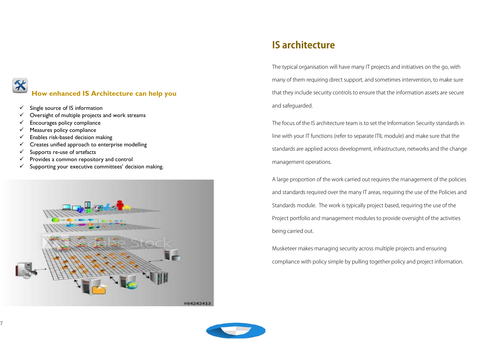# **How enhanced IS Architecture can help you**

- $\checkmark$  Single source of IS information
- $\checkmark$  Oversight of multiple projects and work streams
- $\checkmark$  Encourages policy compliance
- $\checkmark$  Measures policy compliance
- $\checkmark$  Enables risk-based decision making
- $\checkmark$  Creates unified approach to enterprise modelling
- $\checkmark$  Supports re-use of artefacts
- $\checkmark$  Provides a common repository and control
- $\checkmark$  Supporting your executive committees' decision making.



# **IS architecture**

The typical organisation will have many IT projects and initiatives on the go, with many of them requiring direct support, and sometimes intervention, to make sure that they include security controls to ensure that the information assets are secure and safeguarded.

The focus of the IS architecture team is to set the Information Security standards in line with your IT functions (refer to separate ITIL module) and make sure that the standards are applied across development, infrastructure, networks and the change management operations.

A large proportion of the work carried out requires the management of the policies and standards required over the many IT areas, requiring the use of the Policies and Standards module. The work is typically project based, requiring the use of the Project portfolio and management modules to provide oversight of the activities being carried out.

Musketeer makes managing security across multiple projects and ensuring compliance with policy simple by pulling together policy and project information.

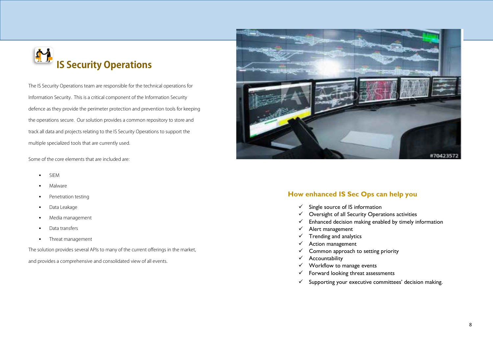

The IS Security Operations team are responsible for the technical operations for Information Security. This is a critical component of the Information Security defence as they provide the perimeter protection and prevention tools for keeping the operations secure. Our solution provides a common repository to store and track all data and projects relating to the IS Security Operations to support the multiple specialized tools that are currently used.

Some of the core elements that are included are:

- SIEM
- Malware
- Penetration testing
- Data Leakage
- Media management
- Data transfers
- **Threat management**

The solution provides several APIs to many of the current offerings in the market,

and provides a comprehensive and consolidated view of all events.



### **How enhanced IS Sec Ops can help you**

- $\checkmark$  Single source of IS information
- $\checkmark$  Oversight of all Security Operations activities
- $\checkmark$  Enhanced decision making enabled by timely information
- $\checkmark$  Alert management
- $\checkmark$  Trending and analytics
- $\checkmark$  Action management
- $\checkmark$  Common approach to setting priority
- $\checkmark$  Accountability
- $\checkmark$  Workflow to manage events
- $\checkmark$  Forward looking threat assessments
- $\checkmark$  Supporting your executive committees' decision making.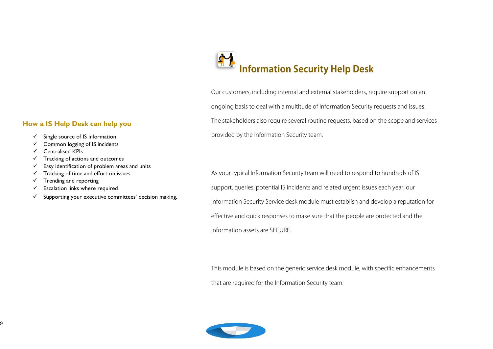### **How a IS Help Desk can help you**

- $\checkmark$  Single source of IS information
- $\checkmark$  Common logging of IS incidents
- $\checkmark$  Centralised KPIs
- $\checkmark$  Tracking of actions and outcomes
- $\checkmark$  Easy identification of problem areas and units
- $\checkmark$  Tracking of time and effort on issues
- $\checkmark$  Trending and reporting
- $\checkmark$  Escalation links where required
- $\checkmark$  Supporting your executive committees' decision making.

# **Information Security Help Desk**

Our customers, including internal and external stakeholders, require support on an ongoing basis to deal with a multitude of Information Security requests and issues. The stakeholders also require several routine requests, based on the scope and services provided by the Information Security team.

As your typical Information Security team will need to respond to hundreds of IS support, queries, potential IS incidents and related urgent issues each year, our Information Security Service desk module must establish and develop a reputation for effective and quick responses to make sure that the people are protected and the information assets are SECURE.

This module is based on the generic service desk module, with specific enhancements that are required for the Information Security team.

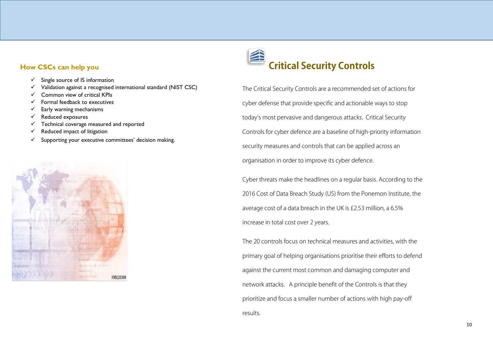### **How CSCs can help you**

- $\checkmark$  Single source of IS information
- $\checkmark$  Validation against a recognised international standard (NIST CSC)
- $\checkmark$  Common view of critical KPIs
- $\checkmark$  Formal feedback to executives
- $\checkmark$  Early warning mechanisms
- $\checkmark$  Reduced exposures
- $\checkmark$  Technical coverage measured and reported
- $\checkmark$  Reduced impact of litigation
- $\checkmark$  Supporting your executive committees' decision making.



# **Critical Security Controls**

The Critical Security Controls are a recommended set of actions for cyber defense that provide specific and actionable ways to stop today's most pervasive and dangerous attacks. Critical Security Controls for cyber defence are a baseline of high-priority information security measures and controls that can be applied across an organisation in order to improve its cyber defence.

Cyber threats make the headlines on a regular basis. According to the 2016 Cost of Data Breach Study (US) from the Ponemon Institute, the average cost of a data breach in the UK is £2.53 million, a 6.5% increase in total cost over 2 years.

The 20 controls focus on technical measures and activities, with the primary goal of helping organisations prioritise their efforts to defend against the current most common and damaging computer and network attacks. A principle benefit of the Controls is that they prioritize and focus a smaller number of actions with high pay-off results.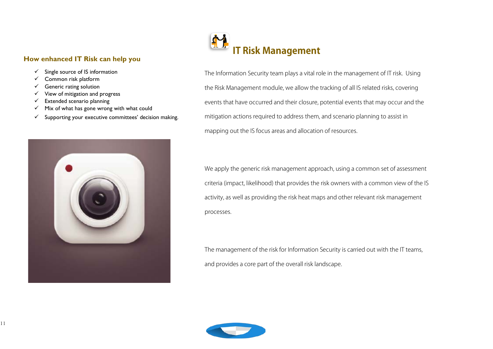### **How enhanced IT Risk can help you**

- $\checkmark$  Single source of IS information
- $\checkmark$  Common risk platform
- $\checkmark$  Generic rating solution
- $\checkmark$  View of mitigation and progress
- $\checkmark$  Extended scenario planning
- $\checkmark$  Mix of what has gone wrong with what could
- $\checkmark$  Supporting your executive committees' decision making.





The Information Security team plays a vital role in the management of IT risk. Using the Risk Management module, we allow the tracking of all IS related risks, covering events that have occurred and their closure, potential events that may occur and the mitigation actions required to address them, and scenario planning to assist in mapping out the IS focus areas and allocation of resources.

We apply the generic risk management approach, using a common set of assessment criteria (impact, likelihood) that provides the risk owners with a common view of the IS activity, as well as providing the risk heat maps and other relevant risk management processes.

The management of the risk for Information Security is carried out with the IT teams, and provides a core part of the overall risk landscape.

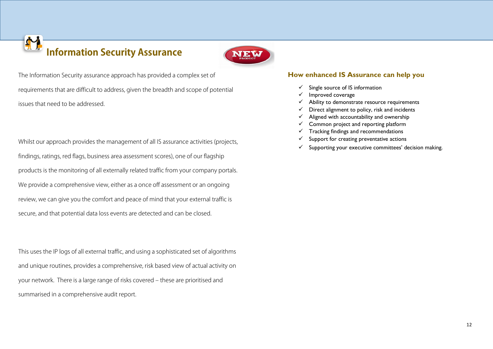# 41 **Information Security Assurance**



The Information Security assurance approach has provided a complex set of requirements that are difficult to address, given the breadth and scope of potential issues that need to be addressed.

Whilst our approach provides the management of all IS assurance activities (projects, findings, ratings, red flags, business area assessment scores), one of our flagship products is the monitoring of all externally related traffic from your company portals. We provide a comprehensive view, either as a once off assessment or an ongoing review, we can give you the comfort and peace of mind that your external traffic is secure, and that potential data loss events are detected and can be closed.

This uses the IP logs of all external traffic, and using a sophisticated set of algorithms and unique routines, provides a comprehensive, risk based view of actual activity on your network. There is a large range of risks covered – these are prioritised and summarised in a comprehensive audit report.

### **How enhanced IS Assurance can help you**

- $\checkmark$  Single source of IS information
- $\checkmark$  Improved coverage
- $\checkmark$  Ability to demonstrate resource requirements
- $\checkmark$  Direct alignment to policy, risk and incidents
- $\checkmark$  Aligned with accountability and ownership
- $\checkmark$  Common project and reporting platform
- $\checkmark$  Tracking findings and recommendations
- $\checkmark$  Support for creating preventative actions
- $\checkmark$  Supporting your executive committees' decision making.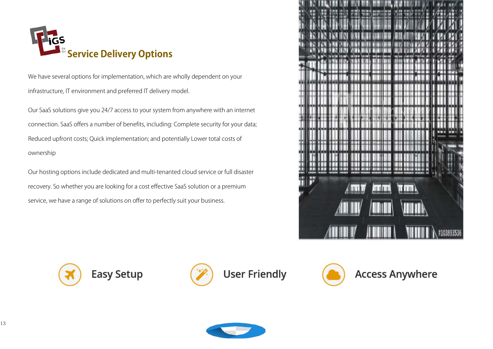

We have several options for implementation, which are wholly dependent on your infrastructure, IT environment and preferred IT delivery model.

Our SaaS solutions give you 24/7 access to your system from anywhere with an internet connection. SaaS offers a number of benefits, including: Complete security for your data; Reduced upfront costs; Quick implementation; and potentially Lower total costs of ownership

Our hosting options include dedicated and multi-tenanted cloud service or full disaster recovery. So whether you are looking for a cost effective SaaS solution or a premium service, we have a range of solutions on offer to perfectly suit your business.







**User Friendly** 



**Access Anywhere** 

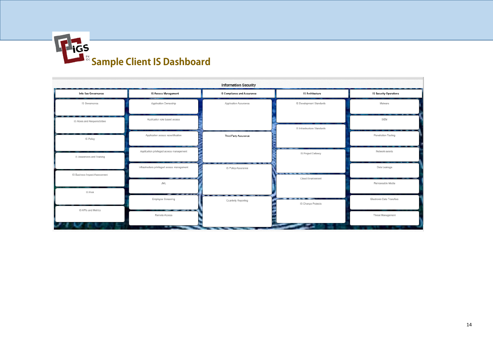

| <b>Information Security</b>                |                                                     |                                    |                             |                               |  |  |
|--------------------------------------------|-----------------------------------------------------|------------------------------------|-----------------------------|-------------------------------|--|--|
| Info Sec Governance                        | <b>IS Access Management</b>                         | <b>IS Compliance and Assurance</b> | <b>IS Architecture</b>      | <b>IS Security Operations</b> |  |  |
| IS Governance                              | Application Ownership                               | Application Assurance              | IS Development Standards    | Malware                       |  |  |
| - -<br>IS Roles and Responsibilities       | Application role based access                       |                                    | IS Infrastructure Standards | SIEM                          |  |  |
| .<br>$\overline{\phantom{a}}$<br>IS Policy | Application access recertification                  | Third Party Assurance              |                             | Penetration Testing           |  |  |
| IS Awareness and Training                  | Application privileged access management            |                                    | IS Project Delivery         | Network events                |  |  |
| IS Business Impact Assessment              | Infrastructure privileged access management<br>---- | -<br>IS Policy Assurance           | . .<br>Cloud Environment    | Data Leakage                  |  |  |
| <b>IS Risk</b>                             | JML<br><b><i><u>PARK AREA ( )</u></i></b><br>-      |                                    |                             | Removeable Media              |  |  |
| IS KPIs and Metrics                        | Employee Screening<br>------                        | . .<br>Quarterly Reporting         | ----<br>IS Change Projects  | Electronic Data Transfers     |  |  |
|                                            | Remote Access<br>. .                                |                                    |                             | Threat Management             |  |  |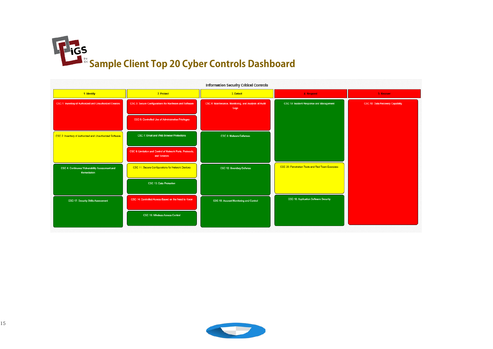

| 2. Protect<br>1. Identify<br>3. Detect<br>4. Respond<br>5. Recover<br>CSC 19: Incident Response and Management<br>CSC 1: Inventory of Authorized and Unauthorized Devices<br>CSC 3: Secure Configurations for Hardware and Software<br>CSC 6: Maintenance, Monitoring, and Analysis of Audit<br>CSC 10: Data Recovery Capability<br>Logs<br>CSC 5: Controlled Use of Administrative Privileges<br>CSC 7: Email and Web Browser Protections<br>CSC 2: Inventory of Authorized and Unauthorized Software<br>CSC 8: Malware Defenses<br>CSC 9: Limitation and Control of Network Ports, Protocols,<br>and Services<br>CSC 20: Penetration Tests and Red Team Exercises<br>CSC 11: Secure Configurations for Network Devices<br>CSC 4: Continuous Vulnerability Assessment and<br>CSC 12: Boundary Defense<br>Remediation<br>CSC 13: Data Protection<br>CSC 18: Application Software Security<br>CSC 14: Controlled Access Based on the Need to Know<br>CSC 17: Security Skills Assessment<br>CSC 16: Account Monitoring and Control<br>CSC 15: Wireless Access Control | <b>Information Security Critical Controls</b> |  |  |  |  |  |  |
|---------------------------------------------------------------------------------------------------------------------------------------------------------------------------------------------------------------------------------------------------------------------------------------------------------------------------------------------------------------------------------------------------------------------------------------------------------------------------------------------------------------------------------------------------------------------------------------------------------------------------------------------------------------------------------------------------------------------------------------------------------------------------------------------------------------------------------------------------------------------------------------------------------------------------------------------------------------------------------------------------------------------------------------------------------------------|-----------------------------------------------|--|--|--|--|--|--|
|                                                                                                                                                                                                                                                                                                                                                                                                                                                                                                                                                                                                                                                                                                                                                                                                                                                                                                                                                                                                                                                                     |                                               |  |  |  |  |  |  |
|                                                                                                                                                                                                                                                                                                                                                                                                                                                                                                                                                                                                                                                                                                                                                                                                                                                                                                                                                                                                                                                                     |                                               |  |  |  |  |  |  |
|                                                                                                                                                                                                                                                                                                                                                                                                                                                                                                                                                                                                                                                                                                                                                                                                                                                                                                                                                                                                                                                                     |                                               |  |  |  |  |  |  |
|                                                                                                                                                                                                                                                                                                                                                                                                                                                                                                                                                                                                                                                                                                                                                                                                                                                                                                                                                                                                                                                                     |                                               |  |  |  |  |  |  |
|                                                                                                                                                                                                                                                                                                                                                                                                                                                                                                                                                                                                                                                                                                                                                                                                                                                                                                                                                                                                                                                                     |                                               |  |  |  |  |  |  |
|                                                                                                                                                                                                                                                                                                                                                                                                                                                                                                                                                                                                                                                                                                                                                                                                                                                                                                                                                                                                                                                                     |                                               |  |  |  |  |  |  |
|                                                                                                                                                                                                                                                                                                                                                                                                                                                                                                                                                                                                                                                                                                                                                                                                                                                                                                                                                                                                                                                                     |                                               |  |  |  |  |  |  |
|                                                                                                                                                                                                                                                                                                                                                                                                                                                                                                                                                                                                                                                                                                                                                                                                                                                                                                                                                                                                                                                                     |                                               |  |  |  |  |  |  |
|                                                                                                                                                                                                                                                                                                                                                                                                                                                                                                                                                                                                                                                                                                                                                                                                                                                                                                                                                                                                                                                                     |                                               |  |  |  |  |  |  |